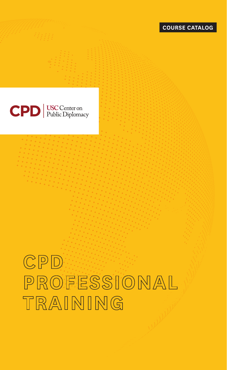



# $CPD$ PROFESSIONAL TRAINING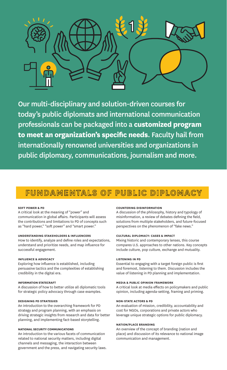

Our multi-disciplinary and solution-driven courses for today's public diplomats and international communication professionals can be packaged into a **customized program to meet an organization's specific needs**. Faculty hail from internationally renowned universities and organizations in public diplomacy, communications, journalism and more.

# FUNDAMENTALS OF PUBLIC DIPLOMACY

### **SOFT POWER & PD**

A critical look at the meaning of "power" and communication in global affairs. Participants will assess the contributions and limitations to PD of concepts such as "hard power," "soft power" and "smart power."

# **UNDERSTANDING STAKEHOLDERS & INFLUENCERS**

How to identify, analyze and define roles and expectations, understand and prioritize needs, and map influence for successful engagement.

#### **INFLUENCE & ADVOCACY**

Exploring how influence is established, including persuasive tactics and the complexities of establishing credibility in the digital era.

#### **INFORMATION STATECRAFT**

A discussion of how to better utilize all diplomatic tools for strategic policy advocacy through case examples.

### **DESIGNING PD STRATEGIES**

An introduction to the overarching framework for PD strategy and program planning, with an emphasis on driving strategic insights from research and data for better planning, and implementing fact-based storytelling.

### **NATIONAL SECURITY COMMUNICATIONS**

An introduction to the various facets of communication related to national security matters, including digital channels and messaging, the interaction between government and the press, and navigating security laws.

#### **COUNTERING DISINFORMATION**

A discussion of the philosophy, history and typology of misinformation, a review of debates defining the field, solutions from multiple stakeholders, and future-focused perspectives on the phenomenon of "fake news."

# **CULTURAL DIPLOMACY: CASES & IMPACT**

Mixing historic and contemporary lenses, this course compares U.S. approaches to other nations. Key concepts include culture, pop culture, exchange and mutuality.

#### **LISTENING IN PD**

Essential to engaging with a target foreign public is first and foremost, listening to them. Discussion includes the value of listening in PD planning and implementation.

#### **MEDIA & PUBLIC OPINION FRAMEWORK**

A critical look at media effects on policymakers and public opinion, including agenda-setting, framing and priming.

#### **NON-STATE ACTORS & PD**

An evaluation of mission, credibility, accountability and cost for NGOs, corporations and private actors who leverage unique strategic options for public diplomacy.

### **NATION/PLACE BRANDING**

An overview of the concept of branding (nation and place) and discussion of its relevance to national image communication and management.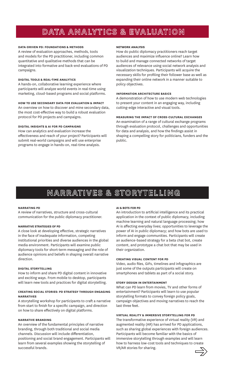# DATA ANALYTICS & EVALUATION

# **DATA-DRIVEN PD: FOUNDATIONS & METHODS**

A review of evaluation approaches, methods, tools and models for the PD practitioner, including common quantitative and qualitative methods that can be integrated into formative and back-end evaluations of PD campaigns.

#### **DIGITAL TOOLS & REAL-TIME ANALYTICS**

A hands-on, collaborative learning experience where participants will analyze world events in real-time using marketing, cloud-based programs and social platforms.

#### **HOW TO USE SECONDARY DATA FOR EVALUATION & IMPACT**

An overview on how to discover and mine secondary data, the most cost-effective way to build a robust evaluation protocol for PD projects and campaigns.

# **DIGITAL INSIGHTS & AI FOR PD CAMPAIGNS**

How can analytics and evaluation increase the effectiveness and reach of your project? Participants will submit real-world campaigns and will use enterprise programs to engage in hands-on, real-time analysis.

#### **NETWORK ANALYSIS**

How do public diplomacy practitioners reach target audiences and maximize influence online? Learn how to build and manage connected networks of target audiences of relevance using social network analysis and visualization techniques. Participants will acquire the necessary skills for profiling their follower base as well as expanding their online network in a manner suitable to policy objectives.

### **INFORMATION ARCHITECTURE BASICS**

A demonstration of how to use modern web technologies to present your content in an engaging way, including cutting-edge interactive and visual tools.

#### **MEASURING THE IMPACT OF CROSS-CULTURAL EXCHANGES**

An examination of a range of cultural exchange programs through evaluation protocol, challenges and opportunities for data and analysis, and how the findings assist in shaping a compelling story for politicians, funders and the public.

# NARRATIVES & STORYTELLING

#### **NARRATING PD**

A review of narratives, structure and cross-cultural communication for the public diplomacy practitioner.

#### **NARRATIVE STRATEGIES OF PD**

A close look at developing effective, strategic narratives in the face of inadequate information, competing institutional priorities and diverse audiences in the global media environment. Participants will examine public diplomacy tools for short-term messaging and the role of audience opinions and beliefs in shaping overall narrative direction.

#### **DIGITAL STORYTELLING**

How to inform and share PD digital content in innovative and exciting ways. From mobile to desktop, participants will learn new tools and practices for digital storytelling.

### **CREATING SOCIAL STORIES: PD STRATEGY THROUGH ENGAGING NARRATIVES**

A storytelling workshop for participants to craft a narrative from start to finish for a specific campaign, and direction on how to share effectively on digital platforms.

### **NARRATIVE BRANDING**

An overview of the fundamental principles of narrative branding, through both traditional and social media channels. Discussion will include differentiation, positioning and social brand engagement. Participants will learn from several examples showing the storytelling of successful brands.

# **AI & BOTS FOR PD**

An introduction to artificial intelligence and its practical application in the context of public diplomacy, including machine learning and natural language processing; how AI is affecting everyday lives; opportunities to leverage the power of AI in public diplomacy; and how bots are used to inform and engage communities. Participants will create an audience-based strategy for a beta chat bot, create content, and prototype a chat bot that may be used in their organization.

# **CREATING VISUAL CONTENT FOR PD**

Video, audio files, GIFs, timelines and infographics are just some of the outputs participants will create on smartphones and tablets as part of a social story.

#### **STORY DESIGN IN ENTERTAINMENT**

What can PD learn from movies, TV and other forms of entertainment? Participants will learn to use popular storytelling formats to convey foreign policy goals, campaign objectives and moving narratives to reach the last three feet.

# **VIRTUAL REALITY & IMMERSIVE STORYTELLING FOR PD**

The transformative experience of virtual reality (VR) and augmented reality (AR) has arrived for PD applications, such as sharing global experiences with foreign audiences. Participants will become familiar with the basics of immersive storytelling through examples and will learn how to harness low-cost tools and techniques to create VR/AR stories for sharing.